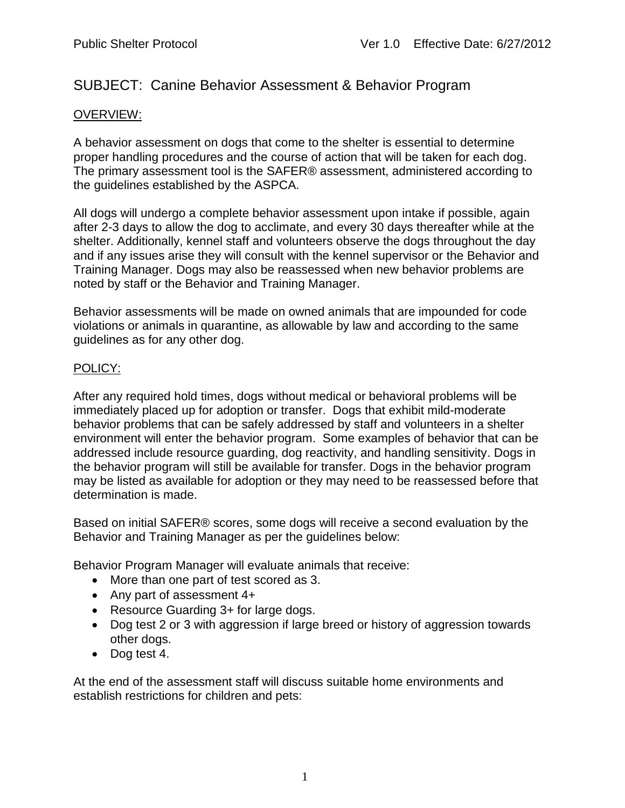# SUBJECT: Canine Behavior Assessment & Behavior Program

### OVERVIEW:

A behavior assessment on dogs that come to the shelter is essential to determine proper handling procedures and the course of action that will be taken for each dog. The primary assessment tool is the SAFER® assessment, administered according to the guidelines established by the ASPCA.

All dogs will undergo a complete behavior assessment upon intake if possible, again after 2-3 days to allow the dog to acclimate, and every 30 days thereafter while at the shelter. Additionally, kennel staff and volunteers observe the dogs throughout the day and if any issues arise they will consult with the kennel supervisor or the Behavior and Training Manager. Dogs may also be reassessed when new behavior problems are noted by staff or the Behavior and Training Manager.

Behavior assessments will be made on owned animals that are impounded for code violations or animals in quarantine, as allowable by law and according to the same guidelines as for any other dog.

#### POLICY:

After any required hold times, dogs without medical or behavioral problems will be immediately placed up for adoption or transfer. Dogs that exhibit mild-moderate behavior problems that can be safely addressed by staff and volunteers in a shelter environment will enter the behavior program. Some examples of behavior that can be addressed include resource guarding, dog reactivity, and handling sensitivity. Dogs in the behavior program will still be available for transfer. Dogs in the behavior program may be listed as available for adoption or they may need to be reassessed before that determination is made.

Based on initial SAFER® scores, some dogs will receive a second evaluation by the Behavior and Training Manager as per the guidelines below:

Behavior Program Manager will evaluate animals that receive:

- More than one part of test scored as 3.
- Any part of assessment 4+
- Resource Guarding 3+ for large dogs.
- Dog test 2 or 3 with aggression if large breed or history of aggression towards other dogs.
- Dog test 4.

At the end of the assessment staff will discuss suitable home environments and establish restrictions for children and pets: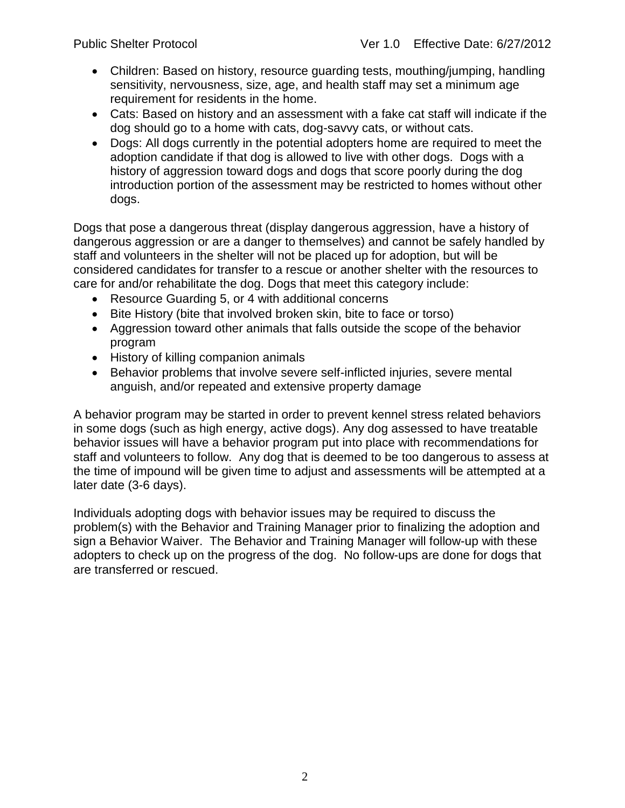- Children: Based on history, resource guarding tests, mouthing/jumping, handling sensitivity, nervousness, size, age, and health staff may set a minimum age requirement for residents in the home.
- Cats: Based on history and an assessment with a fake cat staff will indicate if the dog should go to a home with cats, dog-savvy cats, or without cats.
- Dogs: All dogs currently in the potential adopters home are required to meet the adoption candidate if that dog is allowed to live with other dogs. Dogs with a history of aggression toward dogs and dogs that score poorly during the dog introduction portion of the assessment may be restricted to homes without other dogs.

Dogs that pose a dangerous threat (display dangerous aggression, have a history of dangerous aggression or are a danger to themselves) and cannot be safely handled by staff and volunteers in the shelter will not be placed up for adoption, but will be considered candidates for transfer to a rescue or another shelter with the resources to care for and/or rehabilitate the dog. Dogs that meet this category include:

- Resource Guarding 5, or 4 with additional concerns
- Bite History (bite that involved broken skin, bite to face or torso)
- Aggression toward other animals that falls outside the scope of the behavior program
- History of killing companion animals
- Behavior problems that involve severe self-inflicted injuries, severe mental anguish, and/or repeated and extensive property damage

A behavior program may be started in order to prevent kennel stress related behaviors in some dogs (such as high energy, active dogs). Any dog assessed to have treatable behavior issues will have a behavior program put into place with recommendations for staff and volunteers to follow. Any dog that is deemed to be too dangerous to assess at the time of impound will be given time to adjust and assessments will be attempted at a later date (3-6 days).

Individuals adopting dogs with behavior issues may be required to discuss the problem(s) with the Behavior and Training Manager prior to finalizing the adoption and sign a Behavior Waiver. The Behavior and Training Manager will follow-up with these adopters to check up on the progress of the dog. No follow-ups are done for dogs that are transferred or rescued.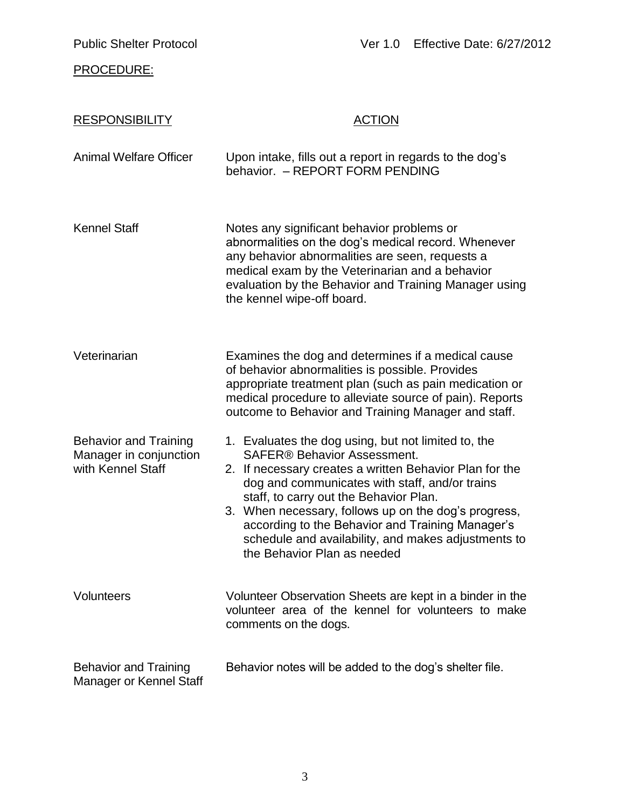# PROCEDURE:

| <b>RESPONSIBILITY</b>                                                       | <b>ACTION</b>                                                                                                                                                                                                                                                                                                                                                                                                                                      |
|-----------------------------------------------------------------------------|----------------------------------------------------------------------------------------------------------------------------------------------------------------------------------------------------------------------------------------------------------------------------------------------------------------------------------------------------------------------------------------------------------------------------------------------------|
| <b>Animal Welfare Officer</b>                                               | Upon intake, fills out a report in regards to the dog's<br>behavior. - REPORT FORM PENDING                                                                                                                                                                                                                                                                                                                                                         |
| <b>Kennel Staff</b>                                                         | Notes any significant behavior problems or<br>abnormalities on the dog's medical record. Whenever<br>any behavior abnormalities are seen, requests a<br>medical exam by the Veterinarian and a behavior<br>evaluation by the Behavior and Training Manager using<br>the kennel wipe-off board.                                                                                                                                                     |
| Veterinarian                                                                | Examines the dog and determines if a medical cause<br>of behavior abnormalities is possible. Provides<br>appropriate treatment plan (such as pain medication or<br>medical procedure to alleviate source of pain). Reports<br>outcome to Behavior and Training Manager and staff.                                                                                                                                                                  |
| <b>Behavior and Training</b><br>Manager in conjunction<br>with Kennel Staff | 1. Evaluates the dog using, but not limited to, the<br><b>SAFER® Behavior Assessment.</b><br>2. If necessary creates a written Behavior Plan for the<br>dog and communicates with staff, and/or trains<br>staff, to carry out the Behavior Plan.<br>3. When necessary, follows up on the dog's progress,<br>according to the Behavior and Training Manager's<br>schedule and availability, and makes adjustments to<br>the Behavior Plan as needed |
| Volunteers                                                                  | Volunteer Observation Sheets are kept in a binder in the<br>volunteer area of the kennel for volunteers to make<br>comments on the dogs.                                                                                                                                                                                                                                                                                                           |
| <b>Behavior and Training</b><br>Manager or Kennel Staff                     | Behavior notes will be added to the dog's shelter file.                                                                                                                                                                                                                                                                                                                                                                                            |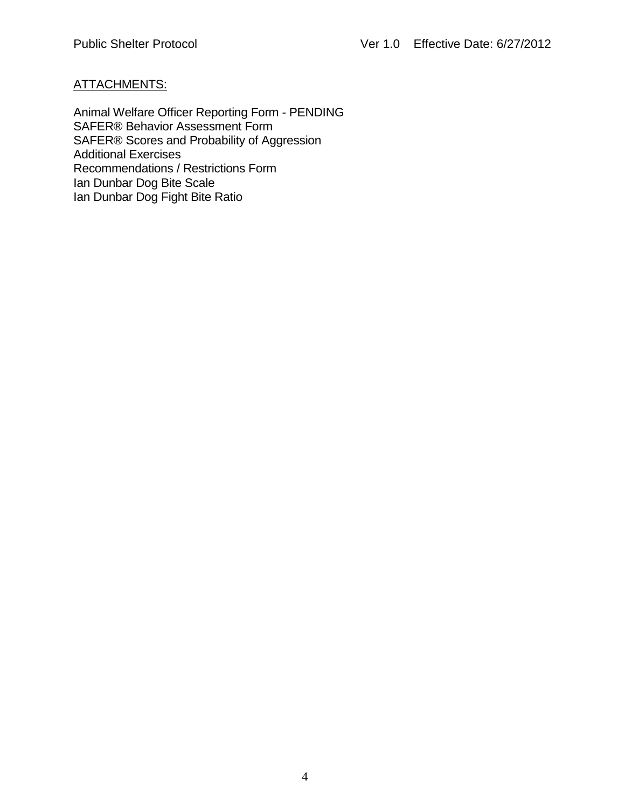### ATTACHMENTS:

Animal Welfare Officer Reporting Form - PENDING SAFER® Behavior Assessment Form SAFER® Scores and Probability of Aggression Additional Exercises Recommendations / Restrictions Form Ian Dunbar Dog Bite Scale Ian Dunbar Dog Fight Bite Ratio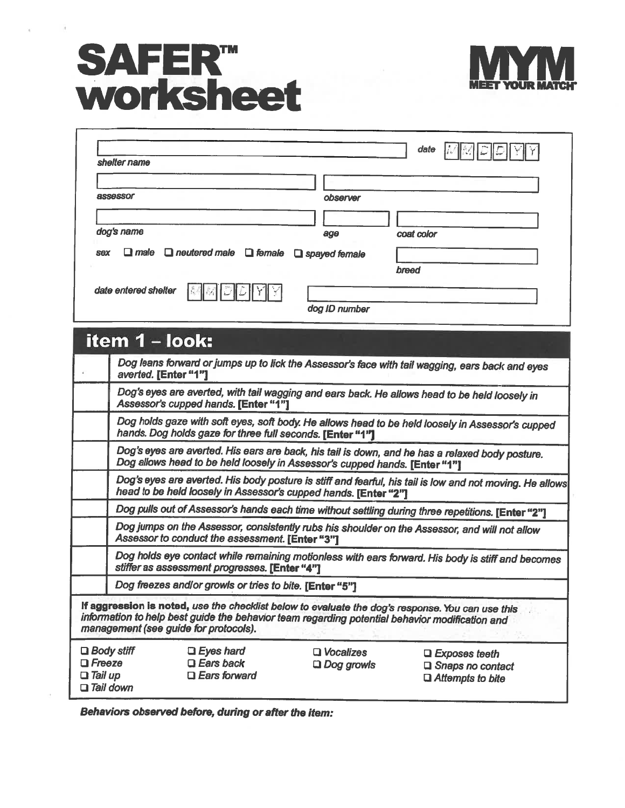# **SAFER<sup>TM</sup>**<br>Worksheet



| observer                                                            |            |
|---------------------------------------------------------------------|------------|
| age                                                                 | coat color |
| $\Box$ male $\Box$ neutered male $\Box$ female $\Box$ spayed female |            |
|                                                                     | breed      |
|                                                                     |            |
|                                                                     |            |

|                                 | item 1 - look:                                                                                                                                                                                                                              |                                       |                                                                                                          |  |  |  |  |
|---------------------------------|---------------------------------------------------------------------------------------------------------------------------------------------------------------------------------------------------------------------------------------------|---------------------------------------|----------------------------------------------------------------------------------------------------------|--|--|--|--|
|                                 | Dog leans forward or jumps up to lick the Assessor's face with tail wagging, ears back and eyes<br>averted. [Enter "1"]                                                                                                                     |                                       |                                                                                                          |  |  |  |  |
|                                 | Dog's eyes are averted, with tail wagging and ears back. He allows head to be held loosely in<br>Assessor's cupped hands. [Enter "1"]                                                                                                       |                                       |                                                                                                          |  |  |  |  |
|                                 | hands. Dog holds gaze for three full seconds. [Enter "1"]                                                                                                                                                                                   |                                       | Dog holds gaze with soft eyes, soft body. He allows head to be held loosely in Assessor's cupped         |  |  |  |  |
|                                 | Dog's eyes are averted. His ears are back, his tail is down, and he has a relaxed body posture.<br>Dog allows head to be held loosely in Assessor's cupped hands. [Enter "1"]                                                               |                                       |                                                                                                          |  |  |  |  |
|                                 | head to be held loosely in Assessor's cupped hands. [Enter "2"]                                                                                                                                                                             |                                       | Dog's eyes are averted. His body posture is stiff and fearful, his tail is low and not moving. He allows |  |  |  |  |
|                                 | Dog pulls out of Assessor's hands each time without settling during three repetitions. [Enter "2"]                                                                                                                                          |                                       |                                                                                                          |  |  |  |  |
|                                 | Dog jumps on the Assessor, consistently rubs his shoulder on the Assessor, and will not allow<br>Assessor to conduct the assessment. [Enter "3"]                                                                                            |                                       |                                                                                                          |  |  |  |  |
|                                 | stiffer as assessment progresses. [Enter "4"]                                                                                                                                                                                               |                                       | Dog holds eye contact while remaining motionless with ears forward. His body is stiff and becomes        |  |  |  |  |
|                                 | Dog freezes and/or growls or tries to bite. [Enter "5"]                                                                                                                                                                                     |                                       |                                                                                                          |  |  |  |  |
|                                 | If aggression is noted, use the checklist below to evaluate the dog's response. You can use this<br>information to help best guide the behavior team regarding potential behavior modification and<br>management (see guide for protocols). |                                       |                                                                                                          |  |  |  |  |
| $\Box$ Freeze<br>$\Box$ Tail up | $\Box$ Body stiff<br>$\Box$ Eyes hard<br>$\square$ Ears back<br>$\Box$ Ears forward<br>$\Box$ Tail down                                                                                                                                     | $\Box$ Vocalizes<br>$\Box$ Dog growls | $\Box$ Exposes teeth<br>$\Box$ Snaps no contact<br>$\Box$ Attempts to bite                               |  |  |  |  |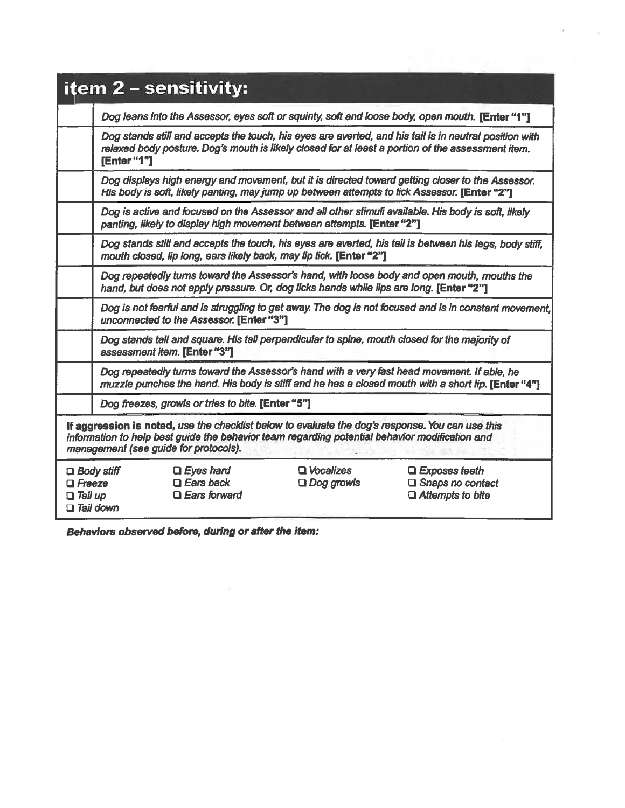|                                 | item 2 – sensitivity:                                                                                                                                                                             |                                                             |                                                                                         |                                                                                                                                                                                                             |  |  |
|---------------------------------|---------------------------------------------------------------------------------------------------------------------------------------------------------------------------------------------------|-------------------------------------------------------------|-----------------------------------------------------------------------------------------|-------------------------------------------------------------------------------------------------------------------------------------------------------------------------------------------------------------|--|--|
|                                 |                                                                                                                                                                                                   |                                                             |                                                                                         | Dog leans into the Assessor, eyes soft or squinty, soft and loose body, open mouth. [Enter "1"]                                                                                                             |  |  |
|                                 | [Enter "1"]                                                                                                                                                                                       |                                                             |                                                                                         | Dog stands still and accepts the touch, his eyes are averted, and his tail is in neutral position with<br>relaxed body posture. Dog's mouth is likely closed for at least a portion of the assessment item. |  |  |
|                                 |                                                                                                                                                                                                   |                                                             |                                                                                         | Dog displays high energy and movement, but it is directed toward getting closer to the Assessor.<br>His body is soft, likely panting, may jump up between attempts to lick Assessor. [Enter "2"]            |  |  |
|                                 |                                                                                                                                                                                                   |                                                             | panting, likely to display high movement between attempts. [Enter "2"]                  | Dog is active and focused on the Assessor and all other stimuli available. His body is soft, likely                                                                                                         |  |  |
|                                 |                                                                                                                                                                                                   |                                                             | mouth closed, lip long, ears likely back, may lip lick. [Enter "2"]                     | Dog stands still and accepts the touch, his eyes are averted, his tail is between his legs, body stiff,                                                                                                     |  |  |
|                                 |                                                                                                                                                                                                   |                                                             | hand, but does not apply pressure. Or, dog licks hands while lips are long. [Enter "2"] | Dog repeatedly turns toward the Assessor's hand, with loose body and open mouth, mouths the                                                                                                                 |  |  |
|                                 | Dog is not fearful and is struggling to get away. The dog is not focused and is in constant movement.<br>unconnected to the Assessor. [Enter "3"]                                                 |                                                             |                                                                                         |                                                                                                                                                                                                             |  |  |
|                                 | assessment item. [Enter "3"]                                                                                                                                                                      |                                                             |                                                                                         | Dog stands tall and square. His tail perpendicular to spine, mouth closed for the majority of                                                                                                               |  |  |
|                                 | Dog repeatedly turns toward the Assessor's hand with a very fast head movement. If able, he<br>muzzle punches the hand. His body is stiff and he has a closed mouth with a short lip. [Enter "4"] |                                                             |                                                                                         |                                                                                                                                                                                                             |  |  |
|                                 | Dog freezes, growls or tries to bite. [Enter "5"]                                                                                                                                                 |                                                             |                                                                                         |                                                                                                                                                                                                             |  |  |
|                                 | information to help best guide the behavior team regarding potential behavior modification and<br>management (see guide for protocols).                                                           |                                                             |                                                                                         | If aggression is noted, use the checklist below to evaluate the dog's response. You can use this                                                                                                            |  |  |
| $\Box$ Freeze<br>$\Box$ Tail up | $\square$ Body stiff<br>$\Box$ Tail down                                                                                                                                                          | $\Box$ Eyes hard<br>$\Box$ Ears back<br>$\Box$ Ears forward | <b>□</b> Vocalizes<br>$\Box$ Dog growls                                                 | $\Box$ Exposes teeth<br>$\square$ Snaps no contact<br>$\Box$ Attempts to bite                                                                                                                               |  |  |

Change of the Contract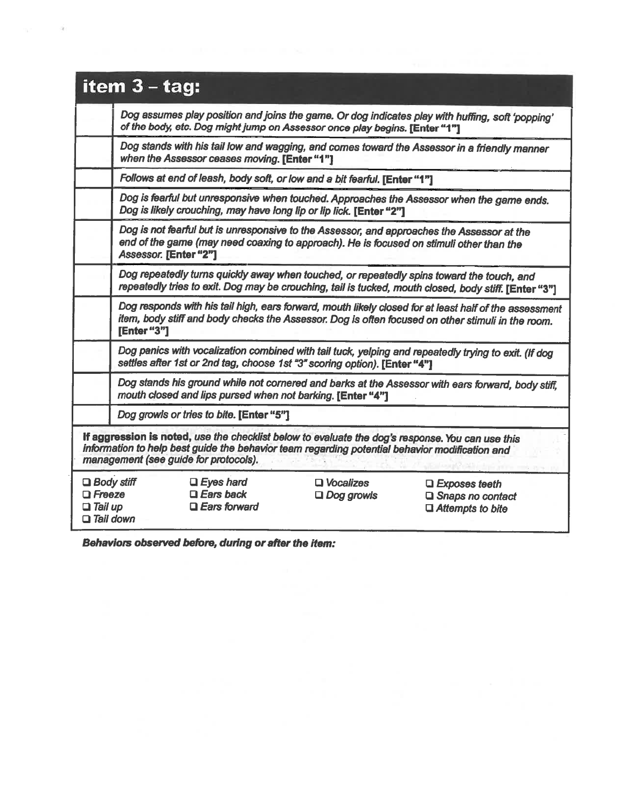|                                                                          | item $3 - tag$ :                                                                                                                                                                                               |                                                             |                                                                                                |                                                                                                                                                                                                             |  |  |  |  |
|--------------------------------------------------------------------------|----------------------------------------------------------------------------------------------------------------------------------------------------------------------------------------------------------------|-------------------------------------------------------------|------------------------------------------------------------------------------------------------|-------------------------------------------------------------------------------------------------------------------------------------------------------------------------------------------------------------|--|--|--|--|
|                                                                          | Dog assumes play position and joins the game. Or dog indicates play with huffing, soft 'popping'<br>of the body, etc. Dog might jump on Assessor once play begins. [Enter "1"]                                 |                                                             |                                                                                                |                                                                                                                                                                                                             |  |  |  |  |
|                                                                          |                                                                                                                                                                                                                | when the Assessor ceases moving. [Enter "1"]                | Dog stands with his tail low and wagging, and comes toward the Assessor in a friendly manner   |                                                                                                                                                                                                             |  |  |  |  |
|                                                                          |                                                                                                                                                                                                                |                                                             | Follows at end of leash, body soft, or low and a bit fearful. [Enter "1"]                      |                                                                                                                                                                                                             |  |  |  |  |
|                                                                          |                                                                                                                                                                                                                |                                                             | Dog is likely crouching, may have long lip or lip lick. [Enter "2"]                            | Dog is fearful but unresponsive when touched. Approaches the Assessor when the game ends.                                                                                                                   |  |  |  |  |
|                                                                          | Dog is not fearful but is unresponsive to the Assessor, and approaches the Assessor at the<br>end of the game (may need coaxing to approach). He is focused on stimuli other than the<br>Assessor. [Enter "2"] |                                                             |                                                                                                |                                                                                                                                                                                                             |  |  |  |  |
|                                                                          |                                                                                                                                                                                                                |                                                             |                                                                                                | Dog repeatedly turns quickly away when touched, or repeatedly spins toward the touch, and<br>repeatedly tries to exit. Dog may be crouching, tail is tucked, mouth closed, body stiff. [Enter "3"]          |  |  |  |  |
|                                                                          | [Enter "3"]                                                                                                                                                                                                    |                                                             |                                                                                                | Dog responds with his tail high, ears forward, mouth likely closed for at least half of the assessment<br>item, body stiff and body checks the Assessor. Dog is often focused on other stimuli in the room. |  |  |  |  |
|                                                                          | Dog panics with vocalization combined with tail tuck, yelping and repeatedly trying to exit. (If dog<br>settles after 1st or 2nd tag, choose 1st "3" scoring option). [Enter "4"]                              |                                                             |                                                                                                |                                                                                                                                                                                                             |  |  |  |  |
|                                                                          | Dog stands his ground while not cornered and barks at the Assessor with ears forward, body stiff,<br>mouth closed and lips pursed when not barking. [Enter "4"]                                                |                                                             |                                                                                                |                                                                                                                                                                                                             |  |  |  |  |
|                                                                          | Dog growls or tries to bite. [Enter "5"]                                                                                                                                                                       |                                                             |                                                                                                |                                                                                                                                                                                                             |  |  |  |  |
|                                                                          |                                                                                                                                                                                                                | management (see guide for protocols).                       | information to help best guide the behavior team regarding potential behavior modification and | If aggression is noted, use the checklist below to evaluate the dog's response. You can use this                                                                                                            |  |  |  |  |
| $\Box$ Body stiff<br>$\Box$ Freeze<br>$\Box$ Tail up<br>$\Box$ Tail down |                                                                                                                                                                                                                | $\Box$ Eyes hard<br>$\Box$ Ears back<br>$\Box$ Ears forward | $\Box$ Vocalizes<br>$\Box$ Dog growls                                                          | $\square$ Exposes teeth<br>□ Snaps no contact<br>$\Box$ Attempts to bite                                                                                                                                    |  |  |  |  |

Behaviors observed before, during or after the item:

 $\rightarrow$ 

w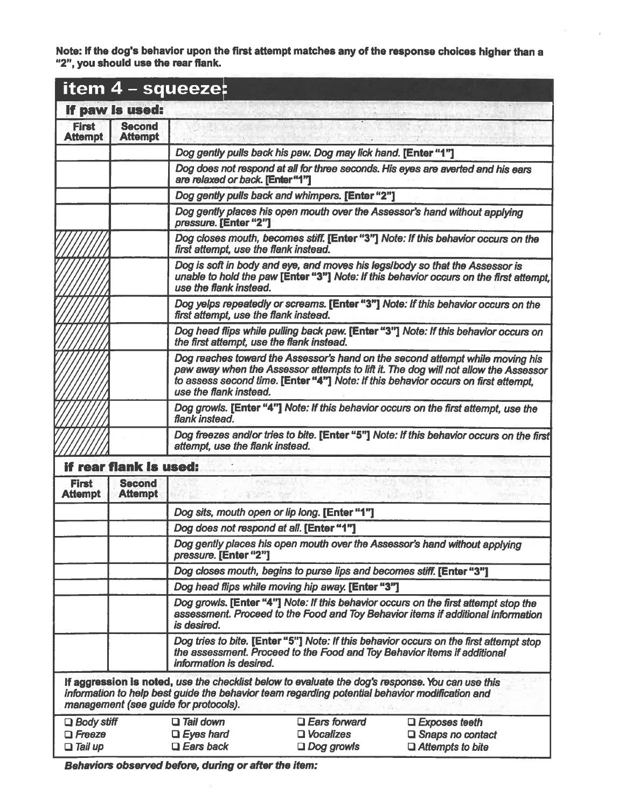Note: If the dog's behavior upon the first attempt matches any of the response choices higher than a<br>"2", you should use the rear flank.

|                                                      |                                 | item 4 - squeeze:                                        |                                                                                                                                                                                                    |                                                                                                                                                                                                                                                            |
|------------------------------------------------------|---------------------------------|----------------------------------------------------------|----------------------------------------------------------------------------------------------------------------------------------------------------------------------------------------------------|------------------------------------------------------------------------------------------------------------------------------------------------------------------------------------------------------------------------------------------------------------|
|                                                      | if paw is used:                 |                                                          |                                                                                                                                                                                                    |                                                                                                                                                                                                                                                            |
| <b>First</b><br><b>Attempt</b>                       | <b>Second</b><br><b>Attempt</b> |                                                          |                                                                                                                                                                                                    |                                                                                                                                                                                                                                                            |
|                                                      |                                 |                                                          | Dog gently pulls back his paw. Dog may lick hand. [Enter "1"]                                                                                                                                      |                                                                                                                                                                                                                                                            |
|                                                      |                                 | are relaxed or back. [Enter "1"]                         |                                                                                                                                                                                                    | Dog does not respond at all for three seconds. His eyes are averted and his ears                                                                                                                                                                           |
|                                                      |                                 |                                                          | Dog gently pulls back and whimpers. [Enter "2"]                                                                                                                                                    |                                                                                                                                                                                                                                                            |
|                                                      |                                 | pressure. [Enter "2"]                                    |                                                                                                                                                                                                    | Dog gently places his open mouth over the Assessor's hand without applying                                                                                                                                                                                 |
|                                                      |                                 | first attempt, use the flank instead.                    |                                                                                                                                                                                                    | Dog closes mouth, becomes stiff. [Enter "3"] Note: If this behavior occurs on the                                                                                                                                                                          |
|                                                      |                                 | use the flank instead.                                   |                                                                                                                                                                                                    | Dog is soft in body and eye, and moves his legs/body so that the Assessor is<br>unable to hold the paw [Enter "3"] Note: If this behavior occurs on the first attempt,                                                                                     |
|                                                      |                                 | first attempt, use the flank instead.                    |                                                                                                                                                                                                    | Dog yelps repeatedly or screams. [Enter "3"] Note: If this behavior occurs on the                                                                                                                                                                          |
|                                                      |                                 | the first attempt, use the flank instead.                |                                                                                                                                                                                                    | Dog head flips while pulling back paw. [Enter "3"] Note: If this behavior occurs on                                                                                                                                                                        |
|                                                      |                                 | use the flank instead.                                   |                                                                                                                                                                                                    | Dog reaches toward the Assessor's hand on the second attempt while moving his<br>paw away when the Assessor attempts to lift it. The dog will not allow the Assessor<br>to assess second time. [Enter "4"] Note: If this behavior occurs on first attempt. |
|                                                      |                                 | flank instead.                                           |                                                                                                                                                                                                    | Dog growls. [Enter "4"] Note: If this behavior occurs on the first attempt, use the                                                                                                                                                                        |
|                                                      |                                 | attempt, use the flank instead.                          |                                                                                                                                                                                                    | Dog freezes and/or tries to bite. [Enter "5"] Note: If this behavior occurs on the first                                                                                                                                                                   |
|                                                      | <b>if rear flank is used:</b>   |                                                          |                                                                                                                                                                                                    |                                                                                                                                                                                                                                                            |
| <b>First</b><br><b>Attempt</b>                       | <b>Second</b><br><b>Attempt</b> |                                                          |                                                                                                                                                                                                    |                                                                                                                                                                                                                                                            |
|                                                      |                                 |                                                          | Dog sits, mouth open or lip long. [Enter "1"]                                                                                                                                                      |                                                                                                                                                                                                                                                            |
|                                                      |                                 |                                                          | Dog does not respond at all. [Enter "1"]                                                                                                                                                           |                                                                                                                                                                                                                                                            |
|                                                      |                                 | pressure. [Enter "2"]                                    |                                                                                                                                                                                                    | Dog gently places his open mouth over the Assessor's hand without applying                                                                                                                                                                                 |
|                                                      |                                 |                                                          | Dog closes mouth, begins to purse lips and becomes stiff. [Enter "3"]                                                                                                                              |                                                                                                                                                                                                                                                            |
|                                                      |                                 |                                                          | Dog head flips while moving hip away. [Enter "3"]                                                                                                                                                  |                                                                                                                                                                                                                                                            |
|                                                      |                                 | is desired.                                              |                                                                                                                                                                                                    | Dog growls. [Enter "4"] Note: If this behavior occurs on the first attempt stop the<br>assessment. Proceed to the Food and Toy Behavior items if additional information                                                                                    |
|                                                      |                                 | information is desired.                                  | the assessment. Proceed to the Food and Toy Behavior items if additional                                                                                                                           | Dog tries to bite. [Enter "5"] Note: If this behavior occurs on the first attempt stop                                                                                                                                                                     |
|                                                      |                                 | management (see guide for protocols).                    | If aggression is noted, use the checklist below to evaluate the dog's response. You can use this<br>information to help best guide the behavior team regarding potential behavior modification and |                                                                                                                                                                                                                                                            |
| $\Box$ Body stiff<br>$\Box$ Freeze<br>$\Box$ Tail up |                                 | $\Box$ Tail down<br>$\Box$ Eyes hard<br>$\Box$ Ears back | $\Box$ Ears forward<br>□ Vocalizes<br>$\Box$ Dog growls                                                                                                                                            | $\Box$ Exposes teeth<br>$\square$ Snaps no contact<br>$\Box$ Attempts to bite                                                                                                                                                                              |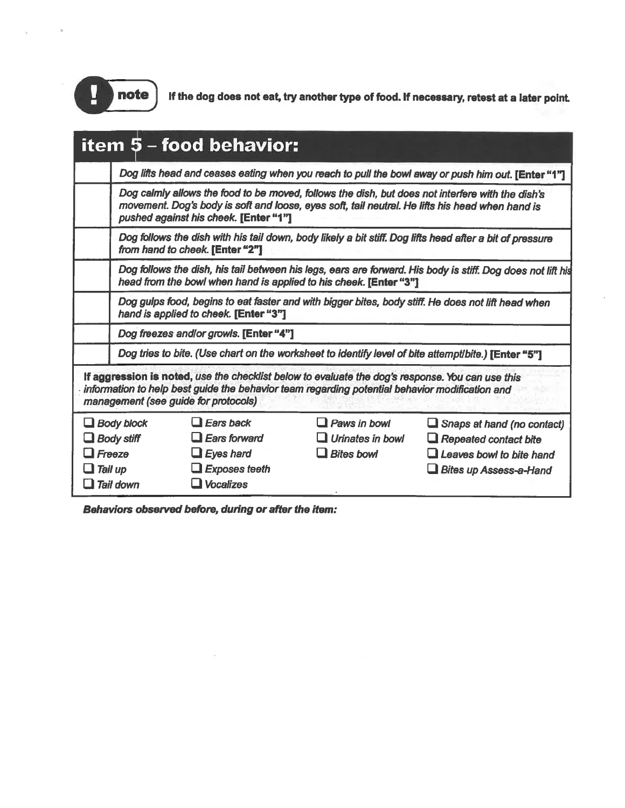

If the dog does not eat, try another type of food. If necessary, retest at a later point.

|                   | item 5 - food behavior:                                                                                                                                                                                                                    |                         |                                                                                                                                                                                                     |
|-------------------|--------------------------------------------------------------------------------------------------------------------------------------------------------------------------------------------------------------------------------------------|-------------------------|-----------------------------------------------------------------------------------------------------------------------------------------------------------------------------------------------------|
|                   |                                                                                                                                                                                                                                            |                         | Dog lifts head and ceases eating when you reach to pull the bowl away or push him out. [Enter "1"]                                                                                                  |
|                   | pushed against his cheek. [Enter "1"]                                                                                                                                                                                                      |                         | Dog calmly allows the food to be moved, follows the dish, but does not interfere with the dish's<br>movement. Dog's body is soft and loose, eyes soft, tail neutral. He lifts his head when hand is |
|                   | from hand to cheek. [Enter "2"]                                                                                                                                                                                                            |                         | Dog follows the dish with his tail down, body likely a bit stiff. Dog lifts head after a bit of pressure                                                                                            |
|                   | head from the bowl when hand is applied to his cheek. [Enter "3"]                                                                                                                                                                          |                         | Dog follows the dish, his tail between his legs, ears are forward. His body is stiff. Dog does not lift his                                                                                         |
|                   | hand is applied to cheek. [Enter "3"]                                                                                                                                                                                                      |                         | Dog gulps food, begins to eat faster and with bigger bites, body stiff. He does not lift head when                                                                                                  |
|                   | Dog freezes and/or growls. [Enter "4"]                                                                                                                                                                                                     |                         |                                                                                                                                                                                                     |
|                   |                                                                                                                                                                                                                                            |                         | Dog tries to bite. (Use chart on the worksheet to identify level of bite attempt/bite.) [Enter "5"]                                                                                                 |
|                   | If aggression is noted, use the checklist below to evaluate the dog's response. You can use this<br>information to help best guide the behavior team regarding potential behavior modification and<br>management (see guide for protocols) |                         |                                                                                                                                                                                                     |
| $\Box$ Body block | $\Box$ Ears back                                                                                                                                                                                                                           | $\Box$ Paws in bowl     | $\Box$ Snaps at hand (no contact)                                                                                                                                                                   |
| $\Box$ Body stiff | $\Box$ Ears forward                                                                                                                                                                                                                        | $\Box$ Urinates in bowl | $\Box$ Repeated contact bite                                                                                                                                                                        |
| $\Box$ Freeze     | $\Box$ Eyes hard                                                                                                                                                                                                                           | $\Box$ Bites bowl       | Leaves bowl to bite hand                                                                                                                                                                            |
| $\Box$ Tail up    | $\Box$ Exposes teeth                                                                                                                                                                                                                       |                         | <b>Bites up Assess-a-Hand</b>                                                                                                                                                                       |
| $\Box$ Tail down  | <b>Vocalizes</b>                                                                                                                                                                                                                           |                         |                                                                                                                                                                                                     |

Behaviors observed before, during or after the item:

 $\sim$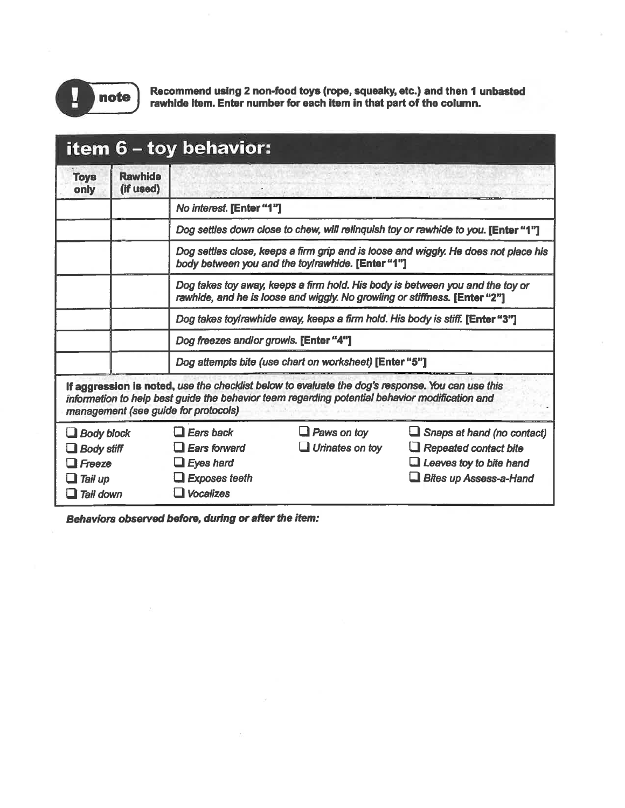

Recommend using 2 non-food toys (rope, squeaky, etc.) and then 1 unbasted rawhide item. Enter number for each item in that part of the column.

|                                                                                        |                             | item 6 – toy behavior:                                                                                                                                      |                                                                                                                                                                                                    |                                                                                                                               |  |  |
|----------------------------------------------------------------------------------------|-----------------------------|-------------------------------------------------------------------------------------------------------------------------------------------------------------|----------------------------------------------------------------------------------------------------------------------------------------------------------------------------------------------------|-------------------------------------------------------------------------------------------------------------------------------|--|--|
| <b>Toys</b><br>only                                                                    | <b>Rawhide</b><br>(if used) |                                                                                                                                                             |                                                                                                                                                                                                    |                                                                                                                               |  |  |
|                                                                                        |                             | No interest. [Enter "1"]                                                                                                                                    |                                                                                                                                                                                                    |                                                                                                                               |  |  |
|                                                                                        |                             |                                                                                                                                                             |                                                                                                                                                                                                    | Dog settles down close to chew, will relinquish toy or rawhide to you. [Enter "1"]                                            |  |  |
|                                                                                        |                             |                                                                                                                                                             | body between you and the toylrawhide. [Enter "1"]                                                                                                                                                  | Dog settles close, keeps a firm grip and is loose and wiggly. He does not place his                                           |  |  |
|                                                                                        |                             | Dog takes toy away, keeps a firm hold. His body is between you and the toy or<br>rawhide, and he is loose and wiggly. No growling or stiffness. [Enter "2"] |                                                                                                                                                                                                    |                                                                                                                               |  |  |
|                                                                                        |                             | Dog takes toyirawhide away, keeps a firm hold. His body is stiff. [Enter "3"]                                                                               |                                                                                                                                                                                                    |                                                                                                                               |  |  |
|                                                                                        |                             | Dog freezes and/or growls. [Enter "4"]                                                                                                                      |                                                                                                                                                                                                    |                                                                                                                               |  |  |
|                                                                                        |                             |                                                                                                                                                             | Dog attempts bite (use chart on worksheet) [Enter "5"]                                                                                                                                             |                                                                                                                               |  |  |
|                                                                                        |                             | management (see guide for protocols)                                                                                                                        | If aggression is noted, use the checklist below to evaluate the dog's response. You can use this<br>information to help best guide the behavior team regarding potential behavior modification and |                                                                                                                               |  |  |
| $\Box$ Body block<br>$\Box$ Body stiff<br>$\Box$ Freeze<br>$\Box$ Tail up<br>Tail down |                             | $\Box$ Ears back<br><b>Ears forward</b><br>$\Box$ Eyes hard<br><b>Exposes teeth</b><br><b>Vocalizes</b>                                                     | $\Box$ Paws on toy<br>$\Box$ Urinates on toy                                                                                                                                                       | Snaps at hand (no contact)<br>$\Box$ Repeated contact bite<br>$\Box$ Leaves toy to bite hand<br><b>Bites up Assess-a-Hand</b> |  |  |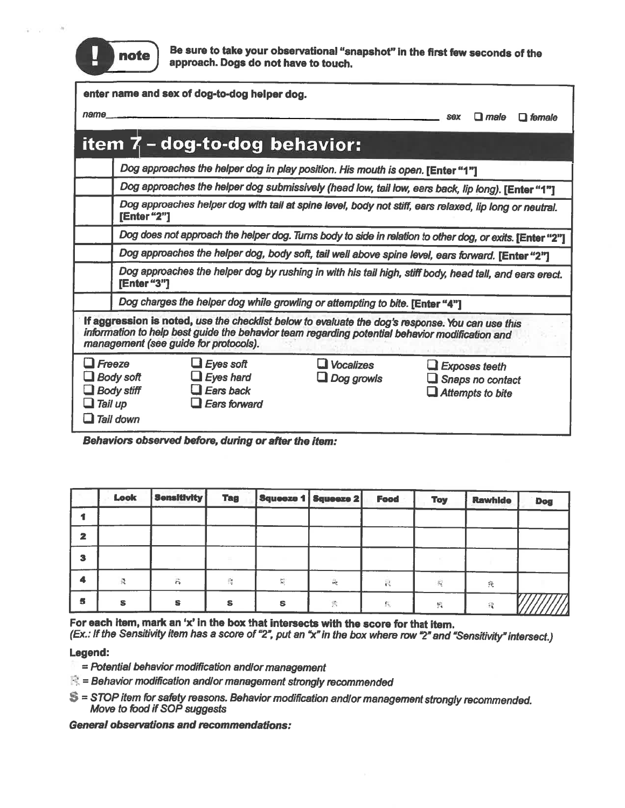

Be sure to take your observational "snapshot" in the first few seconds of the approach. Dogs do not have to touch.

|                                                                                | enter name and sex of dog-to-dog helper dog.                                                                                                                                                                                                |                                                                                 |                                                                                                          |                      |                                      |  |  |  |  |  |
|--------------------------------------------------------------------------------|---------------------------------------------------------------------------------------------------------------------------------------------------------------------------------------------------------------------------------------------|---------------------------------------------------------------------------------|----------------------------------------------------------------------------------------------------------|----------------------|--------------------------------------|--|--|--|--|--|
| name                                                                           | $\Box$ male<br>$\Box$ female<br><b>SOX</b>                                                                                                                                                                                                  |                                                                                 |                                                                                                          |                      |                                      |  |  |  |  |  |
|                                                                                |                                                                                                                                                                                                                                             | item 7 - dog-to-dog behavior:                                                   |                                                                                                          |                      |                                      |  |  |  |  |  |
|                                                                                |                                                                                                                                                                                                                                             | Dog approaches the helper dog in play position. His mouth is open. [Enter "1"]  |                                                                                                          |                      |                                      |  |  |  |  |  |
|                                                                                |                                                                                                                                                                                                                                             |                                                                                 | Dog approaches the helper dog submissively (head low, tail low, ears back, lip long). [Enter "1"]        |                      |                                      |  |  |  |  |  |
|                                                                                | Dog approaches helper dog with tail at spine level, body not stiff, ears relaxed, lip long or neutral.<br>[Enter "2"]                                                                                                                       |                                                                                 |                                                                                                          |                      |                                      |  |  |  |  |  |
|                                                                                |                                                                                                                                                                                                                                             |                                                                                 | Dog does not approach the helper dog. Turns body to side in relation to other dog, or exits. [Enter "2"] |                      |                                      |  |  |  |  |  |
|                                                                                |                                                                                                                                                                                                                                             |                                                                                 | Dog approaches the helper dog, body soft, tail well above spine level, ears forward. [Enter "2"]         |                      |                                      |  |  |  |  |  |
|                                                                                | Dog approaches the helper dog by rushing in with his tail high, stiff body, head tall, and ears erect.<br>[Enter "3"]                                                                                                                       |                                                                                 |                                                                                                          |                      |                                      |  |  |  |  |  |
|                                                                                | Dog charges the helper dog while growling or attempting to bite. [Enter "4"]                                                                                                                                                                |                                                                                 |                                                                                                          |                      |                                      |  |  |  |  |  |
|                                                                                | If aggression is noted, use the checklist below to evaluate the dog's response. You can use this<br>information to help best guide the behavior team regarding potential behavior modification and<br>management (see guide for protocols). |                                                                                 |                                                                                                          |                      |                                      |  |  |  |  |  |
| $\Box$ Freeze<br><b>Body soft</b><br><b>Body stiff</b><br>Tail up<br>Tail down |                                                                                                                                                                                                                                             | $\Box$ Eyes soft<br><b>Eyes hard</b><br><b>Ears back</b><br><b>Ears forward</b> | <b>J</b> Vocalizes<br>Dog growls                                                                         | $\Box$ Exposes teeth | Snaps no contact<br>Attempts to bite |  |  |  |  |  |

Behaviors observed before, during or after the item:

|   | Look | <b>Sensitivity</b> | <b>Tag</b> |   | Squeeze 1   Squeeze 2 | <b>Food</b>    | <b>Toy</b> | <b>Rawhide</b> | Dog |
|---|------|--------------------|------------|---|-----------------------|----------------|------------|----------------|-----|
|   |      |                    |            |   |                       |                |            |                |     |
| 2 |      |                    |            |   |                       |                |            |                |     |
| З |      |                    |            |   |                       |                |            |                |     |
| 4 |      | $\hat{\mathbf{r}}$ | 爬          | 릁 | $\frac{1}{\log n}$    | $\epsilon^2$   | R          | 我              |     |
| 5 | s    | s                  | s          | s | 民                     | $\mathbb{S}_n$ | 抗          | -98            |     |

For each item, mark an 'x' in the box that intersects with the score for that item.

(Ex.: If the Sensitivity item has a score of "2", put an "x" in the box where row "2" and "Sensitivity" intersect.)

#### Legend:

- = Potential behavior modification andlor management
- $\mathbb{R}$  = Behavior modification and/or management strongly recommended
- S = STOP item for safety reasons. Behavior modification and/or management strongly recommended. Move to food if SOP suggests

**General observations and recommendations:**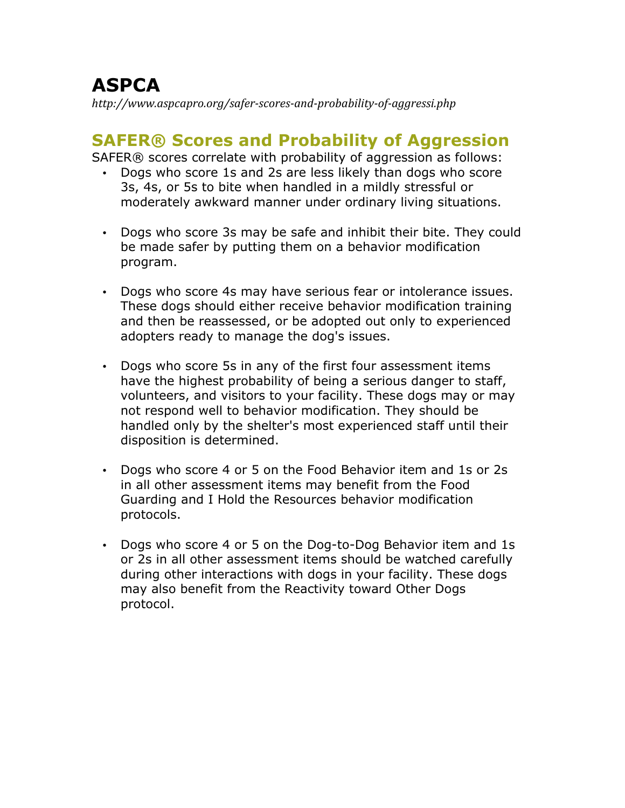# **ASPCA**

*http://www.aspcapro.org/safer-scores-and-probability-of-aggressi.php*

# **SAFER® Scores and Probability of Aggression**

SAFER® scores correlate with probability of aggression as follows:

- Dogs who score 1s and 2s are less likely than dogs who score 3s, 4s, or 5s to bite when handled in a mildly stressful or moderately awkward manner under ordinary living situations.
- Dogs who score 3s may be safe and inhibit their bite. They could be made safer by putting them on a behavior modification program.
- Dogs who score 4s may have serious fear or intolerance issues. These dogs should either receive behavior modification training and then be reassessed, or be adopted out only to experienced adopters ready to manage the dog's issues.
- Dogs who score 5s in any of the first four assessment items have the highest probability of being a serious danger to staff, volunteers, and visitors to your facility. These dogs may or may not respond well to behavior modification. They should be handled only by the shelter's most experienced staff until their disposition is determined.
- Dogs who score 4 or 5 on the Food Behavior item and 1s or 2s in all other assessment items may benefit from the Food Guarding and I Hold the Resources behavior modification protocols.
- Dogs who score 4 or 5 on the Dog-to-Dog Behavior item and 1s or 2s in all other assessment items should be watched carefully during other interactions with dogs in your facility. These dogs may also benefit from the Reactivity toward Other Dogs protocol.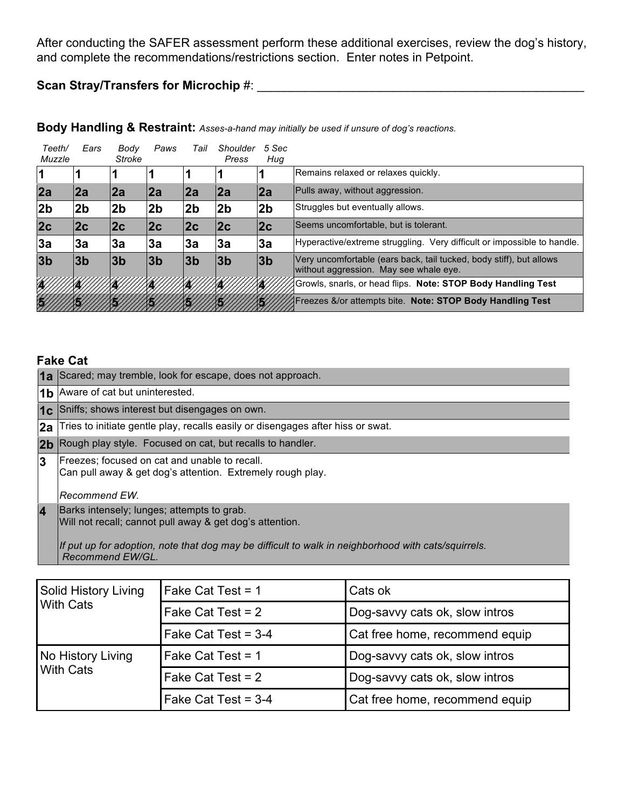After conducting the SAFER assessment perform these additional exercises, review the dog's history, and complete the recommendations/restrictions section. Enter notes in Petpoint.

# **Scan Stray/Transfers for Microchip** #: \_\_\_\_\_\_\_\_\_\_\_\_\_\_\_\_\_\_\_\_\_\_\_\_\_\_\_\_\_\_\_\_\_\_\_\_\_\_\_\_\_\_\_\_\_\_\_\_

| Teeth/<br>Muzzle | Ears           | Body<br>Stroke | Paws           | Tail           | Shoulder<br>Press | 5 Sec<br>Hug   |                                                                                                               |
|------------------|----------------|----------------|----------------|----------------|-------------------|----------------|---------------------------------------------------------------------------------------------------------------|
|                  |                |                |                |                |                   |                | Remains relaxed or relaxes quickly.                                                                           |
| 2a               | 2a             | 2a             | 2a             | 2a             | 2a                | 2a             | Pulls away, without aggression.                                                                               |
| 2 <sub>b</sub>   | 2b             | 2 <sub>b</sub> | 2 <sub>b</sub> | 2b             | 2b                | 2 <sub>b</sub> | Struggles but eventually allows.                                                                              |
| 2c               | 2c             | 2c             | 2c             | 2c             | 2c                | 2c             | Seems uncomfortable, but is tolerant.                                                                         |
| 3a               | Зa             | 3a             | 3a             | 3a             | 3a                | 3a             | Hyperactive/extreme struggling. Very difficult or impossible to handle.                                       |
| 3 <sub>b</sub>   | 3 <sub>b</sub> | 3 <sub>b</sub> | 3 <sub>b</sub> | 3 <sub>b</sub> | 3 <sub>b</sub>    | 3 <sub>b</sub> | Very uncomfortable (ears back, tail tucked, body stiff), but allows<br>without aggression. May see whale eye. |
|                  |                |                |                |                |                   |                | Growls, snarls, or head flips. Note: STOP Body Handling Test                                                  |
|                  |                |                |                |                |                   |                | <b>Freezes &amp;/or attempts bite. Note: STOP Body Handling Test</b>                                          |

#### **Body Handling & Restraint:** *Asses-a-hand may initially be used if unsure of dog's reactions.*

## **Fake Cat**

|                | 1a Scared; may tremble, look for escape, does not approach.                                                 |
|----------------|-------------------------------------------------------------------------------------------------------------|
|                | 1b Aware of cat but uninterested.                                                                           |
| 1c             | Sniffs; shows interest but disengages on own.                                                               |
|                | <b>2a</b> Tries to initiate gentle play, recalls easily or disengages after hiss or swat.                   |
|                | 2b Rough play style. Focused on cat, but recalls to handler.                                                |
| 3              | Freezes; focused on cat and unable to recall.<br>Can pull away & get dog's attention. Extremely rough play. |
|                | Recommend EW.                                                                                               |
| $\overline{4}$ | Barks intensely; lunges; attempts to grab.<br>Will not recall; cannot pull away & get dog's attention.      |
|                | If put up for adoption, note that dog may be difficult to walk in neighborhood with cats/squirrels.         |

*Recommend EW/GL.*

| Solid History Living<br><b>With Cats</b> | Fake Cat Test = 1     | Cats ok                        |
|------------------------------------------|-----------------------|--------------------------------|
|                                          | Fake Cat Test = 2     | Dog-savvy cats ok, slow intros |
|                                          | Fake Cat Test = $3-4$ | Cat free home, recommend equip |
| No History Living<br><b>With Cats</b>    | Fake Cat Test = 1     | Dog-savvy cats ok, slow intros |
|                                          | Fake Cat Test = 2     | Dog-savvy cats ok, slow intros |
|                                          | Fake Cat Test = $3-4$ | Cat free home, recommend equip |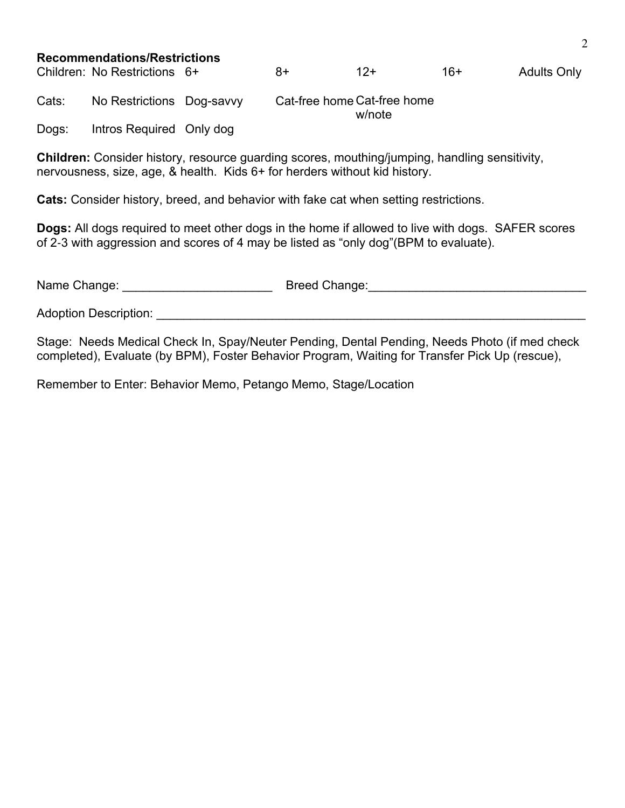#### **Recommendations/Restrictions**

Children: No Restrictions  $6+$  8+ 12+ 16+ Adults Only Cats: No Restrictions Dog-savvy Cat-free home Cat-free home w/note

Dogs: Intros Required Only dog

**Children:** Consider history, resource guarding scores, mouthing/jumping, handling sensitivity, nervousness, size, age, & health. Kids 6+ for herders without kid history.

**Cats:** Consider history, breed, and behavior with fake cat when setting restrictions.

**Dogs:** All dogs required to meet other dogs in the home if allowed to live with dogs. SAFER scores of 2-3 with aggression and scores of 4 may be listed as "only dog"(BPM to evaluate).

| Name Change:                 | Breed Change: |
|------------------------------|---------------|
| <b>Adoption Description:</b> |               |

Stage: Needs Medical Check In, Spay/Neuter Pending, Dental Pending, Needs Photo (if med check completed), Evaluate (by BPM), Foster Behavior Program, Waiting for Transfer Pick Up (rescue),

Remember to Enter: Behavior Memo, Petango Memo, Stage/Location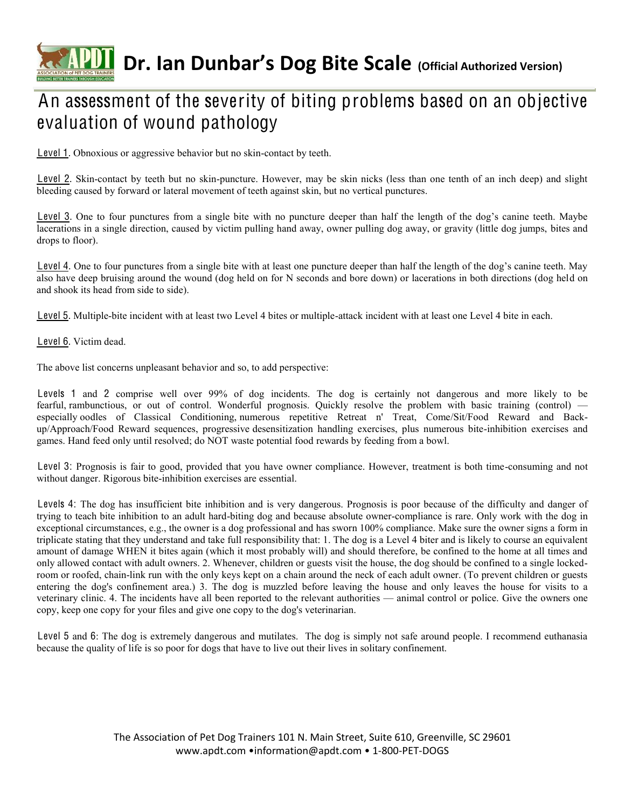# **CAPIT** Dr. Ian Dunbar's Dog Bite Scale (Official Authorized Version)

# An assessment of the severity of biting problems based on an objective evaluation of wound pathology

Level 1. Obnoxious or aggressive behavior but no skin-contact by teeth.

Level 2. Skin-contact by teeth but no skin-puncture. However, may be skin nicks (less than one tenth of an inch deep) and slight bleeding caused by forward or lateral movement of teeth against skin, but no vertical punctures.

Level 3. One to four punctures from a single bite with no puncture deeper than half the length of the dog's canine teeth. Maybe lacerations in a single direction, caused by victim pulling hand away, owner pulling dog away, or gravity (little dog jumps, bites and drops to floor).

Level 4. One to four punctures from a single bite with at least one puncture deeper than half the length of the dog's canine teeth. May also have deep bruising around the wound (dog held on for N seconds and bore down) or lacerations in both directions (dog held on and shook its head from side to side).

Level 5. Multiple-bite incident with at least two Level 4 bites or multiple-attack incident with at least one Level 4 bite in each.

Level 6. Victim dead.

The above list concerns unpleasant behavior and so, to add perspective:

Levels 1 and 2 comprise well over 99% of dog incidents. The dog is certainly not dangerous and more likely to be fearful, rambunctious, or out of control. Wonderful prognosis. Quickly resolve the problem with basic training (control) especially oodles of Classical Conditioning, numerous repetitive Retreat n' Treat, Come/Sit/Food Reward and Backup/Approach/Food Reward sequences, progressive desensitization handling exercises, plus numerous bite-inhibition exercises and games. Hand feed only until resolved; do NOT waste potential food rewards by feeding from a bowl.

Level 3: Prognosis is fair to good, provided that you have owner compliance. However, treatment is both time-consuming and not without danger. Rigorous bite-inhibition exercises are essential.

Levels 4: The dog has insufficient bite inhibition and is very dangerous. Prognosis is poor because of the difficulty and danger of trying to teach bite inhibition to an adult hard-biting dog and because absolute owner-compliance is rare. Only work with the dog in exceptional circumstances, e.g., the owner is a dog professional and has sworn 100% compliance. Make sure the owner signs a form in triplicate stating that they understand and take full responsibility that: 1. The dog is a Level 4 biter and is likely to course an equivalent amount of damage WHEN it bites again (which it most probably will) and should therefore, be confined to the home at all times and only allowed contact with adult owners. 2. Whenever, children or guests visit the house, the dog should be confined to a single lockedroom or roofed, chain-link run with the only keys kept on a chain around the neck of each adult owner. (To prevent children or guests entering the dog's confinement area.) 3. The dog is muzzled before leaving the house and only leaves the house for visits to a veterinary clinic. 4. The incidents have all been reported to the relevant authorities — animal control or police. Give the owners one copy, keep one copy for your files and give one copy to the dog's veterinarian.

Level 5 and 6: The dog is extremely dangerous and mutilates. The dog is simply not safe around people. I recommend euthanasia because the quality of life is so poor for dogs that have to live out their lives in solitary confinement.